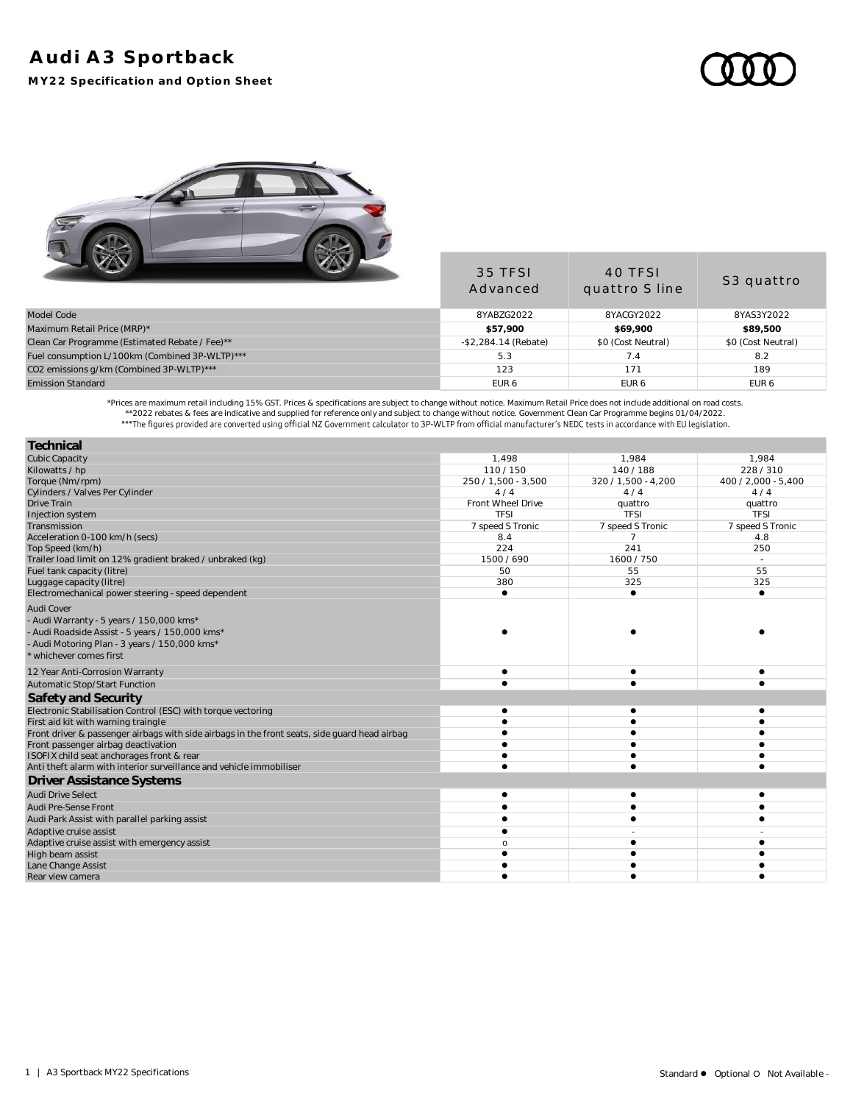## **Audi A3 Sportback**

**MY22 Specification and Option Sheet**



|                                                | 35 TFSI<br>Advanced     | 40 TFSI<br>quattro S line | S <sub>3</sub> quattro |
|------------------------------------------------|-------------------------|---------------------------|------------------------|
| Model Code                                     | 8YABZG2022              | 8YACGY2022                | 8YAS3Y2022             |
| Maximum Retail Price (MRP)*                    | \$57,900                | \$69,900                  | \$89,500               |
| Clean Car Programme (Estimated Rebate / Fee)** | $-$ \$2,284.14 (Rebate) | \$0 (Cost Neutral)        | \$0 (Cost Neutral)     |
| Fuel consumption L/100km (Combined 3P-WLTP)*** | 5.3                     | $\sqrt{4}$                | 8.2                    |
| CO2 emissions g/km (Combined 3P-WLTP)***       | 123                     | 171                       | 189                    |
| <b>Emission Standard</b>                       | EUR 6                   | EUR <sub>6</sub>          | EUR <sub>6</sub>       |

.Prices are maximum retail including 15% GST. Prices & specifications are subject to change without notice. Maximum Retail Price does not include additional on road costs. \*\*2022 rebates & fees are indicative and supplied

| Technical                                                                                     |                   |                     |                     |
|-----------------------------------------------------------------------------------------------|-------------------|---------------------|---------------------|
| <b>Cubic Capacity</b>                                                                         | 1.498             | 1.984               | 1.984               |
| Kilowatts / hp                                                                                | 110/150           | 140/188             | 228/310             |
| Torque (Nm/rpm)                                                                               | 250/1.500 - 3.500 | 320 / 1,500 - 4,200 | 400 / 2.000 - 5.400 |
| Cylinders / Valves Per Cylinder                                                               | 4/4               | 4/4                 | 4/4                 |
| Drive Train                                                                                   | Front Wheel Drive | quattro             | quattro             |
| Injection system                                                                              | <b>TFSI</b>       | TFSI                | <b>TFSI</b>         |
| Transmission                                                                                  | 7 speed S Tronic  | 7 speed S Tronic    | 7 speed S Tronic    |
| Acceleration 0-100 km/h (secs)                                                                | 8.4               | 7                   | 4.8                 |
| Top Speed (km/h)                                                                              | 224               | 241                 | 250                 |
| Trailer load limit on 12% gradient braked / unbraked (kg)                                     | 1500 / 690        | 1600/750            | $\sim$              |
| Fuel tank capacity (litre)                                                                    | 50                | 55                  | 55                  |
| Luggage capacity (litre)                                                                      | 380               | 325                 | 325                 |
| Electromechanical power steering - speed dependent                                            | $\bullet$         | ٠                   | $\bullet$           |
| <b>Audi Cover</b>                                                                             |                   |                     |                     |
| - Audi Warranty - 5 years / 150,000 kms*                                                      |                   |                     |                     |
| - Audi Roadside Assist - 5 years / 150,000 kms*                                               |                   |                     |                     |
| - Audi Motoring Plan - 3 years / 150,000 kms*                                                 |                   |                     |                     |
| * whichever comes first                                                                       |                   |                     |                     |
| 12 Year Anti-Corrosion Warranty                                                               |                   |                     |                     |
| Automatic Stop/Start Function                                                                 |                   |                     |                     |
| Safety and Security                                                                           |                   |                     |                     |
| Electronic Stabilisation Control (ESC) with torque vectoring                                  |                   |                     |                     |
| First aid kit with warning traingle                                                           |                   |                     |                     |
| Front driver & passenger airbags with side airbags in the front seats, side guard head airbag |                   |                     |                     |
| Front passenger airbag deactivation                                                           |                   |                     |                     |
| ISOFIX child seat anchorages front & rear                                                     |                   |                     |                     |
| Anti theft alarm with interior surveillance and vehicle immobiliser                           |                   |                     |                     |
| Driver Assistance Systems                                                                     |                   |                     |                     |
| <b>Audi Drive Select</b>                                                                      |                   |                     |                     |
| Audi Pre-Sense Front                                                                          |                   |                     |                     |
| Audi Park Assist with parallel parking assist                                                 |                   |                     |                     |
| Adaptive cruise assist                                                                        |                   |                     |                     |
| Adaptive cruise assist with emergency assist                                                  | C                 |                     |                     |
| High beam assist                                                                              |                   |                     |                     |
| Lane Change Assist                                                                            |                   |                     |                     |
| Rear view camera                                                                              |                   |                     |                     |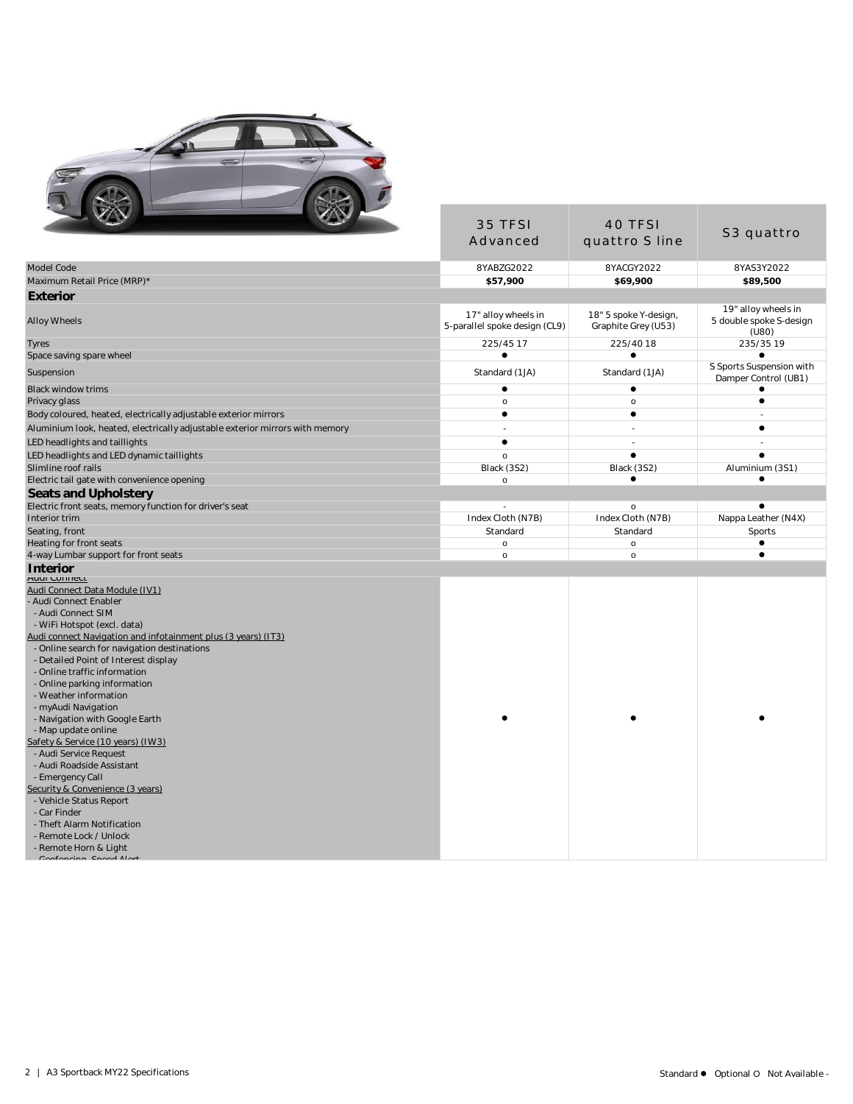

| المسالة                                                                                                                                                                                                                                                                                                                                                                                                                                                                                                                                                                                                                                                                                                                                                                   | 35 TFSI                                              | 40 TFSI                                      |                                                         |
|---------------------------------------------------------------------------------------------------------------------------------------------------------------------------------------------------------------------------------------------------------------------------------------------------------------------------------------------------------------------------------------------------------------------------------------------------------------------------------------------------------------------------------------------------------------------------------------------------------------------------------------------------------------------------------------------------------------------------------------------------------------------------|------------------------------------------------------|----------------------------------------------|---------------------------------------------------------|
|                                                                                                                                                                                                                                                                                                                                                                                                                                                                                                                                                                                                                                                                                                                                                                           | Advanced                                             | quattro S line                               | S3 quattro                                              |
| Model Code                                                                                                                                                                                                                                                                                                                                                                                                                                                                                                                                                                                                                                                                                                                                                                | 8YABZG2022                                           | 8YACGY2022                                   | 8YAS3Y2022                                              |
| Maximum Retail Price (MRP)*                                                                                                                                                                                                                                                                                                                                                                                                                                                                                                                                                                                                                                                                                                                                               | \$57,900                                             | \$69,900                                     | \$89,500                                                |
| Exterior                                                                                                                                                                                                                                                                                                                                                                                                                                                                                                                                                                                                                                                                                                                                                                  |                                                      |                                              |                                                         |
| Alloy Wheels                                                                                                                                                                                                                                                                                                                                                                                                                                                                                                                                                                                                                                                                                                                                                              | 17" alloy wheels in<br>5-parallel spoke design (CL9) | 18" 5 spoke Y-design,<br>Graphite Grey (U53) | 19" alloy wheels in<br>5 double spoke S-design<br>(U80) |
| Tyres                                                                                                                                                                                                                                                                                                                                                                                                                                                                                                                                                                                                                                                                                                                                                                     | 225/45 17                                            | 225/40 18                                    | 235/35 19                                               |
| Space saving spare wheel                                                                                                                                                                                                                                                                                                                                                                                                                                                                                                                                                                                                                                                                                                                                                  | $\bullet$                                            | $\bullet$                                    | $\bullet$                                               |
| Suspension                                                                                                                                                                                                                                                                                                                                                                                                                                                                                                                                                                                                                                                                                                                                                                | Standard (1JA)                                       | Standard (1JA)                               | S Sports Suspension with<br>Damper Control (UB1)        |
| <b>Black window trims</b>                                                                                                                                                                                                                                                                                                                                                                                                                                                                                                                                                                                                                                                                                                                                                 | $\bullet$                                            | $\bullet$                                    | $\bullet$                                               |
| Privacy glass                                                                                                                                                                                                                                                                                                                                                                                                                                                                                                                                                                                                                                                                                                                                                             | $\mathsf{o}$                                         | $\mathsf{o}$                                 | $\bullet$                                               |
| Body coloured, heated, electrically adjustable exterior mirrors                                                                                                                                                                                                                                                                                                                                                                                                                                                                                                                                                                                                                                                                                                           | $\bullet$                                            | $\bullet$                                    |                                                         |
| Aluminium look, heated, electrically adjustable exterior mirrors with memory                                                                                                                                                                                                                                                                                                                                                                                                                                                                                                                                                                                                                                                                                              |                                                      |                                              | $\bullet$                                               |
| LED headlights and taillights                                                                                                                                                                                                                                                                                                                                                                                                                                                                                                                                                                                                                                                                                                                                             | $\bullet$                                            | ÷.                                           |                                                         |
| LED headlights and LED dynamic taillights                                                                                                                                                                                                                                                                                                                                                                                                                                                                                                                                                                                                                                                                                                                                 | $\circ$                                              | $\bullet$                                    | $\bullet$                                               |
| Slimline roof rails                                                                                                                                                                                                                                                                                                                                                                                                                                                                                                                                                                                                                                                                                                                                                       | Black (3S2)                                          | Black (3S2)                                  | Aluminium (3S1)                                         |
| Electric tail gate with convenience opening                                                                                                                                                                                                                                                                                                                                                                                                                                                                                                                                                                                                                                                                                                                               | $\circ$                                              | $\bullet$                                    | ٠                                                       |
| Seats and Upholstery                                                                                                                                                                                                                                                                                                                                                                                                                                                                                                                                                                                                                                                                                                                                                      |                                                      |                                              |                                                         |
| Electric front seats, memory function for driver's seat                                                                                                                                                                                                                                                                                                                                                                                                                                                                                                                                                                                                                                                                                                                   | $\overline{\phantom{a}}$                             | $\mathsf{o}$                                 | $\bullet$                                               |
| Interior trim                                                                                                                                                                                                                                                                                                                                                                                                                                                                                                                                                                                                                                                                                                                                                             | Index Cloth (N7B)                                    | Index Cloth (N7B)                            | Nappa Leather (N4X)                                     |
| Seating, front                                                                                                                                                                                                                                                                                                                                                                                                                                                                                                                                                                                                                                                                                                                                                            | Standard                                             | Standard                                     | Sports                                                  |
| Heating for front seats                                                                                                                                                                                                                                                                                                                                                                                                                                                                                                                                                                                                                                                                                                                                                   | $\mathsf{o}\,$                                       | $\mathsf{o}$                                 | $\bullet$                                               |
| 4-way Lumbar support for front seats                                                                                                                                                                                                                                                                                                                                                                                                                                                                                                                                                                                                                                                                                                                                      | $\circ$                                              | $\circ$                                      | $\bullet$                                               |
| Interior                                                                                                                                                                                                                                                                                                                                                                                                                                                                                                                                                                                                                                                                                                                                                                  |                                                      |                                              |                                                         |
| Audi Connect<br>Audi Connect Data Module (IV1)<br>- Audi Connect Enabler<br>- Audi Connect SIM<br>- WiFi Hotspot (excl. data)<br>Audi connect Navigation and infotainment plus (3 years) (IT3).<br>- Online search for navigation destinations<br>- Detailed Point of Interest display<br>- Online traffic information<br>- Online parking information<br>- Weather information<br>- myAudi Navigation<br>- Navigation with Google Earth<br>- Map update online<br>Safety & Service (10 years) (IW3)<br>- Audi Service Request<br>- Audi Roadside Assistant<br>- Emergency Call<br>Security & Convenience (3 years)<br>- Vehicle Status Report<br>- Car Finder<br>- Theft Alarm Notification<br>- Remote Lock / Unlock<br>- Remote Horn & Light<br>Conforming Spood Alort |                                                      |                                              |                                                         |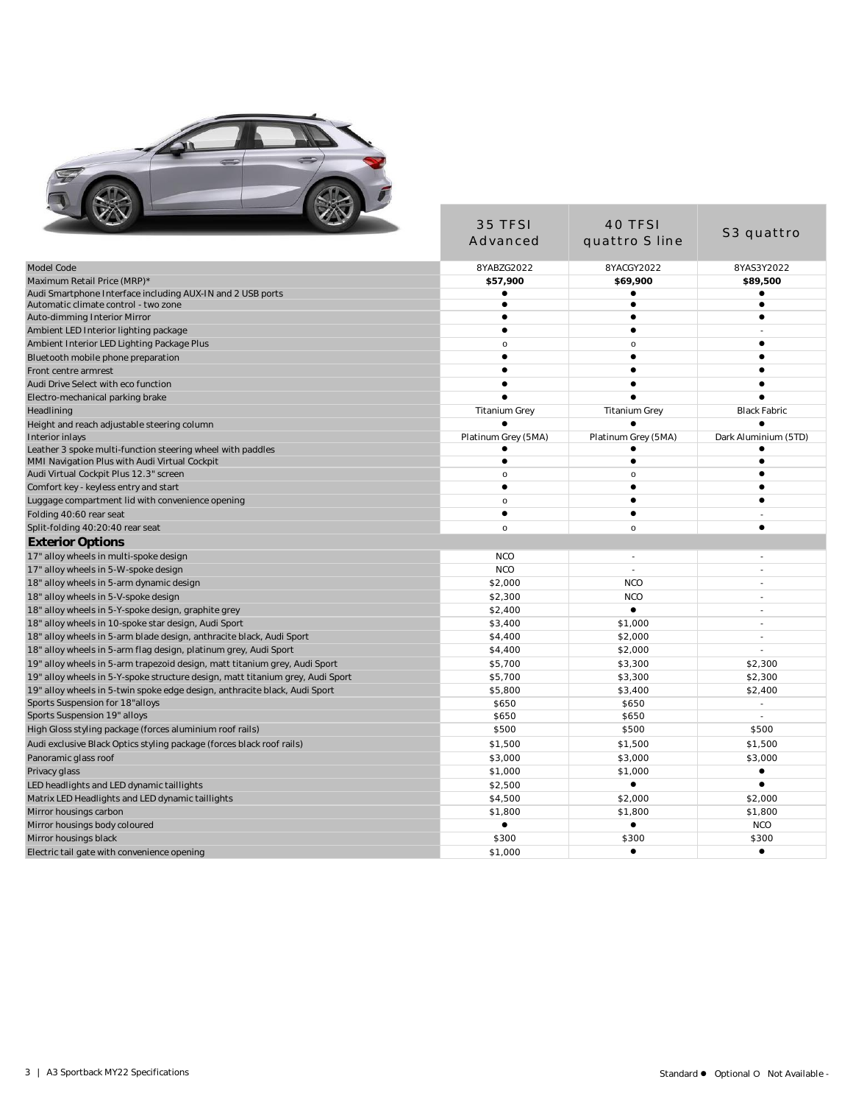

| <b>Service</b>                                                                                                | 35 TFSI                   | 40 TFSI                |                          |
|---------------------------------------------------------------------------------------------------------------|---------------------------|------------------------|--------------------------|
|                                                                                                               | Advanced                  | quattro S line         | S3 quattro               |
| Model Code                                                                                                    | 8YABZG2022                | 8YACGY2022             | 8YAS3Y2022               |
| Maximum Retail Price (MRP)*                                                                                   | \$57,900                  | \$69,900               | \$89,500                 |
| Audi Smartphone Interface including AUX-IN and 2 USB ports                                                    | $\bullet$                 |                        | $\bullet$                |
| Automatic climate control - two zone                                                                          | $\bullet$                 | $\bullet$              | $\bullet$                |
| Auto-dimming Interior Mirror                                                                                  | $\bullet$<br>$\bullet$    | $\bullet$<br>$\bullet$ | $\bullet$                |
| Ambient LED Interior lighting package                                                                         |                           | $\circ$                | $\bullet$                |
| Ambient Interior LED Lighting Package Plus<br>Bluetooth mobile phone preparation                              | $\mathsf{o}$<br>$\bullet$ | $\bullet$              | $\bullet$                |
| Front centre armrest                                                                                          | $\bullet$                 | $\bullet$              | $\bullet$                |
| Audi Drive Select with eco function                                                                           |                           |                        |                          |
| Electro-mechanical parking brake                                                                              |                           |                        |                          |
| Headlining                                                                                                    | <b>Titanium Grey</b>      | <b>Titanium Grey</b>   | <b>Black Fabric</b>      |
| Height and reach adjustable steering column                                                                   |                           |                        |                          |
| Interior inlays                                                                                               | Platinum Grey (5MA)       | Platinum Grey (5MA)    | Dark Aluminium (5TD)     |
| Leather 3 spoke multi-function steering wheel with paddles                                                    |                           |                        |                          |
| MMI Navigation Plus with Audi Virtual Cockpit                                                                 | $\bullet$                 | $\bullet$              | $\bullet$                |
| Audi Virtual Cockpit Plus 12.3" screen                                                                        | $\circ$                   | $\circ$                |                          |
| Comfort key - keyless entry and start                                                                         | $\bullet$                 |                        |                          |
| Luggage compartment lid with convenience opening                                                              | $\circ$                   | $\bullet$              |                          |
| Folding 40:60 rear seat                                                                                       | $\bullet$                 | $\bullet$              |                          |
| Split-folding 40:20:40 rear seat                                                                              | $\circ$                   | $\circ$                | $\bullet$                |
| <b>Exterior Options</b>                                                                                       |                           |                        |                          |
| 17" alloy wheels in multi-spoke design                                                                        | <b>NCO</b>                | $\sim$                 | $\sim$                   |
| 17" alloy wheels in 5-W-spoke design                                                                          | <b>NCO</b>                | $\blacksquare$         |                          |
| 18" alloy wheels in 5-arm dynamic design                                                                      | \$2,000                   | <b>NCO</b>             | $\overline{a}$           |
| 18" alloy wheels in 5-V-spoke design                                                                          | \$2,300                   | <b>NCO</b>             | $\overline{a}$           |
| 18" alloy wheels in 5-Y-spoke design, graphite grey                                                           | \$2,400                   |                        | $\overline{a}$           |
| 18" alloy wheels in 10-spoke star design, Audi Sport                                                          | \$3,400                   | \$1,000                |                          |
| 18" alloy wheels in 5-arm blade design, anthracite black, Audi Sport                                          | \$4,400                   | \$2,000                | $\overline{a}$           |
| 18" alloy wheels in 5-arm flag design, platinum grey, Audi Sport                                              | \$4,400                   | \$2,000                |                          |
| 19" alloy wheels in 5-arm trapezoid design, matt titanium grey, Audi Sport                                    | \$5,700                   | \$3,300                | \$2,300                  |
| 19" alloy wheels in 5-Y-spoke structure design, matt titanium grey, Audi Sport                                | \$5,700<br>\$5,800        | \$3,300<br>\$3,400     | \$2,300<br>\$2,400       |
| 19" alloy wheels in 5-twin spoke edge design, anthracite black, Audi Sport<br>Sports Suspension for 18"alloys | \$650                     | \$650                  | $\overline{\phantom{a}}$ |
| Sports Suspension 19" alloys                                                                                  | \$650                     | \$650                  | $\overline{\phantom{a}}$ |
| High Gloss styling package (forces aluminium roof rails)                                                      | \$500                     | \$500                  | \$500                    |
| Audi exclusive Black Optics styling package (forces black roof rails)                                         | \$1,500                   | \$1,500                | \$1,500                  |
| Panoramic glass roof                                                                                          | \$3,000                   | \$3,000                | \$3,000                  |
| Privacy glass                                                                                                 | \$1,000                   | \$1,000                | ٠                        |
| LED headlights and LED dynamic taillights                                                                     | \$2,500                   | $\bullet$              | $\bullet$                |
| Matrix LED Headlights and LED dynamic taillights                                                              | \$4,500                   | \$2,000                | \$2,000                  |
| Mirror housings carbon                                                                                        | \$1,800                   | \$1,800                | \$1,800                  |
| Mirror housings body coloured                                                                                 | $\bullet$                 | $\bullet$              | <b>NCO</b>               |
| Mirror housings black                                                                                         | \$300                     | \$300                  | \$300                    |
| Electric tail gate with convenience opening                                                                   | \$1,000                   | $\bullet$              | $\bullet$                |
|                                                                                                               |                           |                        |                          |